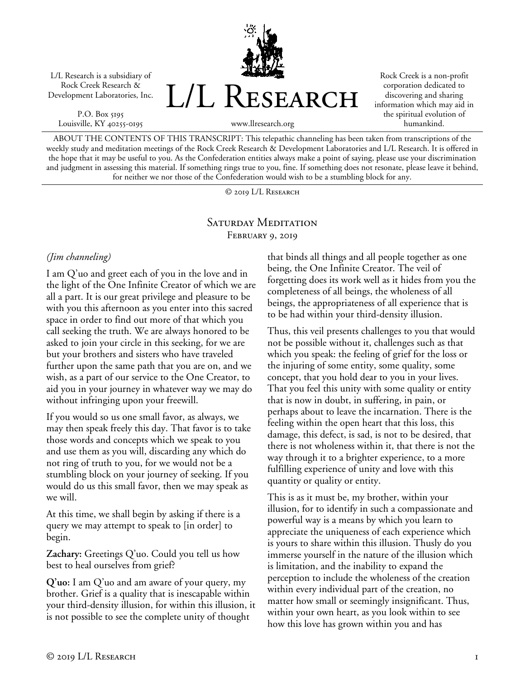L/L Research is a subsidiary of Rock Creek Research & Development Laboratories, Inc.

P.O. Box 5195 Louisville, KY 40255-0195 L/L RESEARCH

Rock Creek is a non-profit corporation dedicated to discovering and sharing information which may aid in the spiritual evolution of humankind.

www.llresearch.org

ABOUT THE CONTENTS OF THIS TRANSCRIPT: This telepathic channeling has been taken from transcriptions of the weekly study and meditation meetings of the Rock Creek Research & Development Laboratories and L/L Research. It is offered in the hope that it may be useful to you. As the Confederation entities always make a point of saying, please use your discrimination and judgment in assessing this material. If something rings true to you, fine. If something does not resonate, please leave it behind, for neither we nor those of the Confederation would wish to be a stumbling block for any.

© 2019 L/L Research

## SATURDAY MEDITATION February 9, 2019

## *(Jim channeling)*

I am Q'uo and greet each of you in the love and in the light of the One Infinite Creator of which we are all a part. It is our great privilege and pleasure to be with you this afternoon as you enter into this sacred space in order to find out more of that which you call seeking the truth. We are always honored to be asked to join your circle in this seeking, for we are but your brothers and sisters who have traveled further upon the same path that you are on, and we wish, as a part of our service to the One Creator, to aid you in your journey in whatever way we may do without infringing upon your freewill.

If you would so us one small favor, as always, we may then speak freely this day. That favor is to take those words and concepts which we speak to you and use them as you will, discarding any which do not ring of truth to you, for we would not be a stumbling block on your journey of seeking. If you would do us this small favor, then we may speak as we will.

At this time, we shall begin by asking if there is a query we may attempt to speak to [in order] to begin.

**Zachary:** Greetings Q'uo. Could you tell us how best to heal ourselves from grief?

**Q'uo:** I am Q'uo and am aware of your query, my brother. Grief is a quality that is inescapable within your third-density illusion, for within this illusion, it is not possible to see the complete unity of thought

that binds all things and all people together as one being, the One Infinite Creator. The veil of forgetting does its work well as it hides from you the completeness of all beings, the wholeness of all beings, the appropriateness of all experience that is to be had within your third-density illusion.

Thus, this veil presents challenges to you that would not be possible without it, challenges such as that which you speak: the feeling of grief for the loss or the injuring of some entity, some quality, some concept, that you hold dear to you in your lives. That you feel this unity with some quality or entity that is now in doubt, in suffering, in pain, or perhaps about to leave the incarnation. There is the feeling within the open heart that this loss, this damage, this defect, is sad, is not to be desired, that there is not wholeness within it, that there is not the way through it to a brighter experience, to a more fulfilling experience of unity and love with this quantity or quality or entity.

This is as it must be, my brother, within your illusion, for to identify in such a compassionate and powerful way is a means by which you learn to appreciate the uniqueness of each experience which is yours to share within this illusion. Thusly do you immerse yourself in the nature of the illusion which is limitation, and the inability to expand the perception to include the wholeness of the creation within every individual part of the creation, no matter how small or seemingly insignificant. Thus, within your own heart, as you look within to see how this love has grown within you and has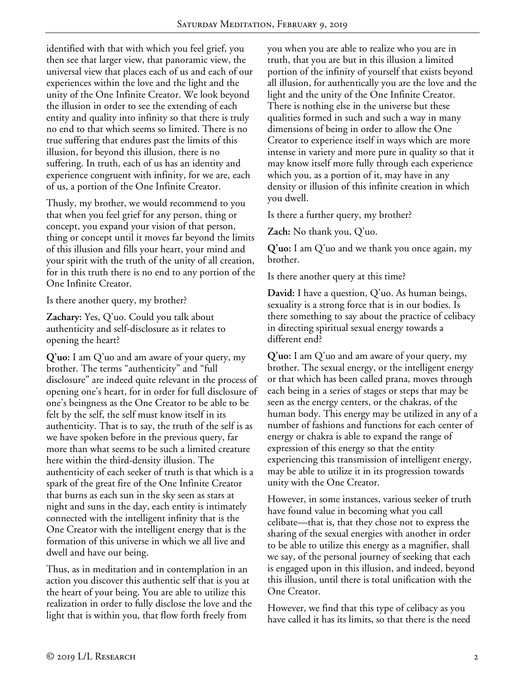identified with that with which you feel grief, you then see that larger view, that panoramic view, the universal view that places each of us and each of our experiences within the love and the light and the unity of the One Infinite Creator. We look beyond the illusion in order to see the extending of each entity and quality into infinity so that there is truly no end to that which seems so limited. There is no true suffering that endures past the limits of this illusion, for beyond this illusion, there is no suffering. In truth, each of us has an identity and experience congruent with infinity, for we are, each of us, a portion of the One Infinite Creator.

Thusly, my brother, we would recommend to you that when you feel grief for any person, thing or concept, you expand your vision of that person, thing or concept until it moves far beyond the limits of this illusion and fills your heart, your mind and your spirit with the truth of the unity of all creation, for in this truth there is no end to any portion of the One Infinite Creator.

Is there another query, my brother?

**Zachary:** Yes, Q'uo. Could you talk about authenticity and self-disclosure as it relates to opening the heart?

**Q'uo:** I am Q'uo and am aware of your query, my brother. The terms "authenticity" and "full disclosure" are indeed quite relevant in the process of opening one's heart, for in order for full disclosure of one's beingness as the One Creator to be able to be felt by the self, the self must know itself in its authenticity. That is to say, the truth of the self is as we have spoken before in the previous query, far more than what seems to be such a limited creature here within the third-density illusion. The authenticity of each seeker of truth is that which is a spark of the great fire of the One Infinite Creator that burns as each sun in the sky seen as stars at night and suns in the day, each entity is intimately connected with the intelligent infinity that is the One Creator with the intelligent energy that is the formation of this universe in which we all live and dwell and have our being.

Thus, as in meditation and in contemplation in an action you discover this authentic self that is you at the heart of your being. You are able to utilize this realization in order to fully disclose the love and the light that is within you, that flow forth freely from

you when you are able to realize who you are in truth, that you are but in this illusion a limited portion of the infinity of yourself that exists beyond all illusion, for authentically you are the love and the light and the unity of the One Infinite Creator. There is nothing else in the universe but these qualities formed in such and such a way in many dimensions of being in order to allow the One Creator to experience itself in ways which are more intense in variety and more pure in quality so that it may know itself more fully through each experience which you, as a portion of it, may have in any density or illusion of this infinite creation in which you dwell.

Is there a further query, my brother?

**Zach:** No thank you, Q'uo.

**Q'uo:** I am Q'uo and we thank you once again, my brother.

Is there another query at this time?

**David:** I have a question, Q'uo. As human beings, sexuality is a strong force that is in our bodies. Is there something to say about the practice of celibacy in directing spiritual sexual energy towards a different end?

**Q'uo:** I am Q'uo and am aware of your query, my brother. The sexual energy, or the intelligent energy or that which has been called prana, moves through each being in a series of stages or steps that may be seen as the energy centers, or the chakras, of the human body. This energy may be utilized in any of a number of fashions and functions for each center of energy or chakra is able to expand the range of expression of this energy so that the entity experiencing this transmission of intelligent energy, may be able to utilize it in its progression towards unity with the One Creator.

However, in some instances, various seeker of truth have found value in becoming what you call celibate—that is, that they chose not to express the sharing of the sexual energies with another in order to be able to utilize this energy as a magnifier, shall we say, of the personal journey of seeking that each is engaged upon in this illusion, and indeed, beyond this illusion, until there is total unification with the One Creator.

However, we find that this type of celibacy as you have called it has its limits, so that there is the need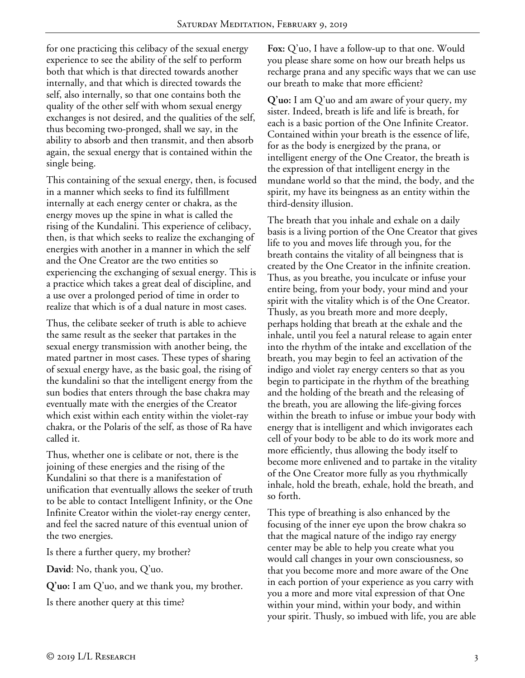for one practicing this celibacy of the sexual energy experience to see the ability of the self to perform both that which is that directed towards another internally, and that which is directed towards the self, also internally, so that one contains both the quality of the other self with whom sexual energy exchanges is not desired, and the qualities of the self, thus becoming two-pronged, shall we say, in the ability to absorb and then transmit, and then absorb again, the sexual energy that is contained within the single being.

This containing of the sexual energy, then, is focused in a manner which seeks to find its fulfillment internally at each energy center or chakra, as the energy moves up the spine in what is called the rising of the Kundalini. This experience of celibacy, then, is that which seeks to realize the exchanging of energies with another in a manner in which the self and the One Creator are the two entities so experiencing the exchanging of sexual energy. This is a practice which takes a great deal of discipline, and a use over a prolonged period of time in order to realize that which is of a dual nature in most cases.

Thus, the celibate seeker of truth is able to achieve the same result as the seeker that partakes in the sexual energy transmission with another being, the mated partner in most cases. These types of sharing of sexual energy have, as the basic goal, the rising of the kundalini so that the intelligent energy from the sun bodies that enters through the base chakra may eventually mate with the energies of the Creator which exist within each entity within the violet-ray chakra, or the Polaris of the self, as those of Ra have called it.

Thus, whether one is celibate or not, there is the joining of these energies and the rising of the Kundalini so that there is a manifestation of unification that eventually allows the seeker of truth to be able to contact Intelligent Infinity, or the One Infinite Creator within the violet-ray energy center, and feel the sacred nature of this eventual union of the two energies.

Is there a further query, my brother?

**David**: No, thank you, Q'uo.

**Q'uo:** I am Q'uo, and we thank you, my brother.

Is there another query at this time?

**Fox:** Q'uo, I have a follow-up to that one. Would you please share some on how our breath helps us recharge prana and any specific ways that we can use our breath to make that more efficient?

**Q'uo:** I am Q'uo and am aware of your query, my sister. Indeed, breath is life and life is breath, for each is a basic portion of the One Infinite Creator. Contained within your breath is the essence of life, for as the body is energized by the prana, or intelligent energy of the One Creator, the breath is the expression of that intelligent energy in the mundane world so that the mind, the body, and the spirit, my have its beingness as an entity within the third-density illusion.

The breath that you inhale and exhale on a daily basis is a living portion of the One Creator that gives life to you and moves life through you, for the breath contains the vitality of all beingness that is created by the One Creator in the infinite creation. Thus, as you breathe, you inculcate or infuse your entire being, from your body, your mind and your spirit with the vitality which is of the One Creator. Thusly, as you breath more and more deeply, perhaps holding that breath at the exhale and the inhale, until you feel a natural release to again enter into the rhythm of the intake and excellation of the breath, you may begin to feel an activation of the indigo and violet ray energy centers so that as you begin to participate in the rhythm of the breathing and the holding of the breath and the releasing of the breath, you are allowing the life-giving forces within the breath to infuse or imbue your body with energy that is intelligent and which invigorates each cell of your body to be able to do its work more and more efficiently, thus allowing the body itself to become more enlivened and to partake in the vitality of the One Creator more fully as you rhythmically inhale, hold the breath, exhale, hold the breath, and so forth.

This type of breathing is also enhanced by the focusing of the inner eye upon the brow chakra so that the magical nature of the indigo ray energy center may be able to help you create what you would call changes in your own consciousness, so that you become more and more aware of the One in each portion of your experience as you carry with you a more and more vital expression of that One within your mind, within your body, and within your spirit. Thusly, so imbued with life, you are able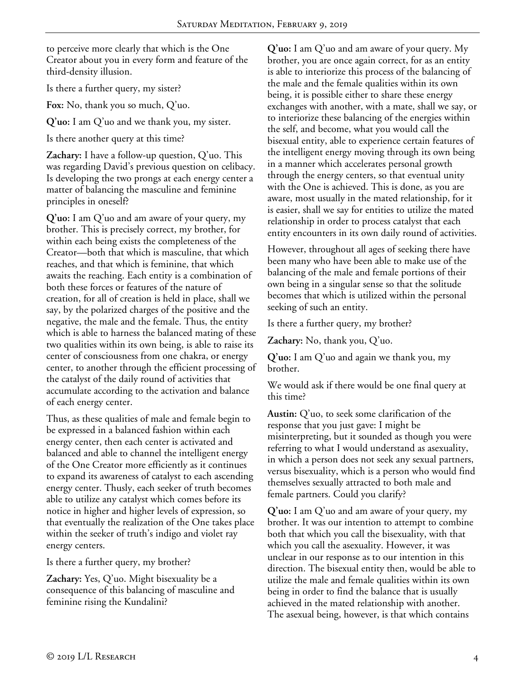to perceive more clearly that which is the One Creator about you in every form and feature of the third-density illusion.

Is there a further query, my sister?

**Fox:** No, thank you so much, Q'uo.

**Q'uo:** I am Q'uo and we thank you, my sister.

Is there another query at this time?

**Zachary:** I have a follow-up question, Q'uo. This was regarding David's previous question on celibacy. Is developing the two prongs at each energy center a matter of balancing the masculine and feminine principles in oneself?

**Q'uo:** I am Q'uo and am aware of your query, my brother. This is precisely correct, my brother, for within each being exists the completeness of the Creator—both that which is masculine, that which reaches, and that which is feminine, that which awaits the reaching. Each entity is a combination of both these forces or features of the nature of creation, for all of creation is held in place, shall we say, by the polarized charges of the positive and the negative, the male and the female. Thus, the entity which is able to harness the balanced mating of these two qualities within its own being, is able to raise its center of consciousness from one chakra, or energy center, to another through the efficient processing of the catalyst of the daily round of activities that accumulate according to the activation and balance of each energy center.

Thus, as these qualities of male and female begin to be expressed in a balanced fashion within each energy center, then each center is activated and balanced and able to channel the intelligent energy of the One Creator more efficiently as it continues to expand its awareness of catalyst to each ascending energy center. Thusly, each seeker of truth becomes able to utilize any catalyst which comes before its notice in higher and higher levels of expression, so that eventually the realization of the One takes place within the seeker of truth's indigo and violet ray energy centers.

Is there a further query, my brother?

**Zachary:** Yes, Q'uo. Might bisexuality be a consequence of this balancing of masculine and feminine rising the Kundalini?

**Q'uo:** I am Q'uo and am aware of your query. My brother, you are once again correct, for as an entity is able to interiorize this process of the balancing of the male and the female qualities within its own being, it is possible either to share these energy exchanges with another, with a mate, shall we say, or to interiorize these balancing of the energies within the self, and become, what you would call the bisexual entity, able to experience certain features of the intelligent energy moving through its own being in a manner which accelerates personal growth through the energy centers, so that eventual unity with the One is achieved. This is done, as you are aware, most usually in the mated relationship, for it is easier, shall we say for entities to utilize the mated relationship in order to process catalyst that each entity encounters in its own daily round of activities.

However, throughout all ages of seeking there have been many who have been able to make use of the balancing of the male and female portions of their own being in a singular sense so that the solitude becomes that which is utilized within the personal seeking of such an entity.

Is there a further query, my brother?

**Zachary:** No, thank you, Q'uo.

**Q'uo:** I am Q'uo and again we thank you, my brother.

We would ask if there would be one final query at this time?

**Austin:** Q'uo, to seek some clarification of the response that you just gave: I might be misinterpreting, but it sounded as though you were referring to what I would understand as asexuality, in which a person does not seek any sexual partners, versus bisexuality, which is a person who would find themselves sexually attracted to both male and female partners. Could you clarify?

**Q'uo:** I am Q'uo and am aware of your query, my brother. It was our intention to attempt to combine both that which you call the bisexuality, with that which you call the asexuality. However, it was unclear in our response as to our intention in this direction. The bisexual entity then, would be able to utilize the male and female qualities within its own being in order to find the balance that is usually achieved in the mated relationship with another. The asexual being, however, is that which contains